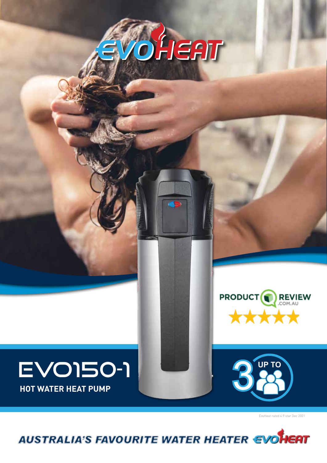



# **EVO150-1**

EovHeat rated 4.9 star Dec 2021

AUSTRALIA'S FAVOURITE WATER HEATER EVOHERT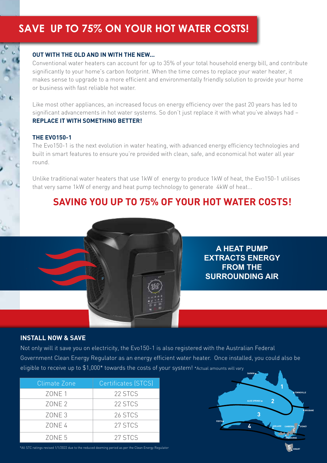# **SAVE UP TO 75% ON YOUR HOT WATER COSTS!**

#### **OUT WITH THE OLD AND IN WITH THE NEW...**

Conventional water heaters can account for up to 35% of your total household energy bill, and contribute significantly to your home's carbon footprint. When the time comes to replace your water heater, it makes sense to upgrade to a more efficient and environmentally friendly solution to provide your home or business with fast reliable hot water.

Like most other appliances, an increased focus on energy efficiency over the past 20 years has led to significant advancements in hot water systems. So don't just replace it with what you've always had – **REPLACE IT WITH SOMETHING BETTER!**

#### **THE EVO150-1**

The Evo150-1 is the next evolution in water heating, with advanced energy efficiency technologies and built in smart features to ensure you're provided with clean, safe, and economical hot water all year round.

Unlike traditional water heaters that use 1kW of energy to produce 1kW of heat, the Evo150-1 utilises that very same 1kW of energy and heat pump technology to generate 4kW of heat...

# **SAVING YOU UP TO 75% OF YOUR HOT WATER COSTS!**

**A HEAT PUMP EXTRACTS ENERGY FROM THE SURROUNDING AIR**

**2**

**ADELAIDE**

**5**

**MELBOURNE**

**CANBERRA SYDNEY**

**HOBART**

**BRISBANE**

**TOWNSVILLE**

**3**

**ALICE SPRINGS**

**4**

**PERTH**

**DARWIN**



Not only will it save you on electricity, the Evo150-1 is also registered with the Australian Federal Government Clean Energy Regulator as an energy efficient water heater. Once installed, you could also be eligible to receive up to \$1,000\* towards the costs of your system! \*Actual amounts will vary

| Climate Zone      | Certificates (STCS) |
|-------------------|---------------------|
| ZONE <sub>1</sub> | 22 STCS             |
| ZONE <sub>2</sub> | 22 STCS             |
| ZONE <sub>3</sub> | 26 STCS             |
| ZONE 4            | 27 STCS             |
| ZONE <sub>5</sub> | 27 STCS             |

\*All STC ratings revised 1/1/2022 due to the reduced deeming period as per the Clean Energy Regulator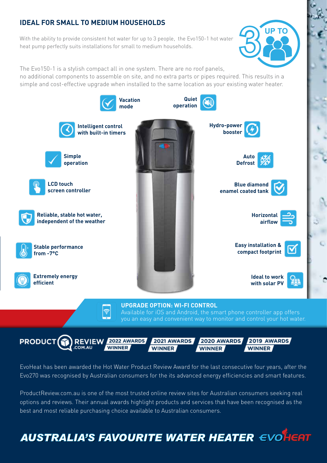## **IDEAL FOR SMALL TO MEDIUM HOUSEHOLDS**

With the ability to provide consistent hot water for up to 3 people, the Evo150-1 hot water heat pump perfectly suits installations for small to medium households.



The Evo150-1 is a stylish compact all in one system. There are no roof panels,

no additional components to assemble on site, and no extra parts or pipes required. This results in a simple and cost-effective upgrade when installed to the same location as your existing water heater.



EvoHeat has been awarded the Hot Water Product Review Award for the last consecutive four years, after the Evo270 was recognised by Australian consumers for the its advanced energy efficiencies and smart features.

ProductReview.com.au is one of the most trusted online review sites for Australian consumers seeking real options and reviews. Their annual awards highlight products and services that have been recognised as the best and most reliable purchasing choice available to Australian consumers.

**AUSTRALIA'S FAVOURITE WATER HEATER EVOLUAT**